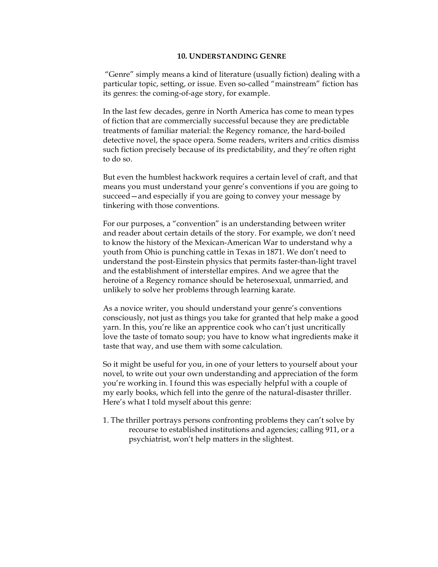## **10. UNDERSTANDING GENRE**

"Genre" simply means a kind of literature (usually fiction) dealing with a particular topic, setting, or issue. Even so-called "mainstream" fiction has its genres: the coming-of-age story, for example.

In the last few decades, genre in North America has come to mean types of fiction that are commercially successful because they are predictable treatments of familiar material: the Regency romance, the hard-boiled detective novel, the space opera. Some readers, writers and critics dismiss such fiction precisely because of its predictability, and they're often right to do so.

But even the humblest hackwork requires a certain level of craft, and that means you must understand your genre's conventions if you are going to succeed—and especially if you are going to convey your message by tinkering with those conventions.

For our purposes, a "convention" is an understanding between writer and reader about certain details of the story. For example, we don't need to know the history of the Mexican-American War to understand why a youth from Ohio is punching cattle in Texas in 1871. We don't need to understand the post-Einstein physics that permits faster-than-light travel and the establishment of interstellar empires. And we agree that the heroine of a Regency romance should be heterosexual, unmarried, and unlikely to solve her problems through learning karate.

As a novice writer, you should understand your genre's conventions consciously, not just as things you take for granted that help make a good yarn. In this, you're like an apprentice cook who can't just uncritically love the taste of tomato soup; you have to know what ingredients make it taste that way, and use them with some calculation.

So it might be useful for you, in one of your letters to yourself about your novel, to write out your own understanding and appreciation of the form you're working in. I found this was especially helpful with a couple of my early books, which fell into the genre of the natural-disaster thriller. Here's what I told myself about this genre:

1. The thriller portrays persons confronting problems they can't solve by recourse to established institutions and agencies; calling 911, or a psychiatrist, won't help matters in the slightest.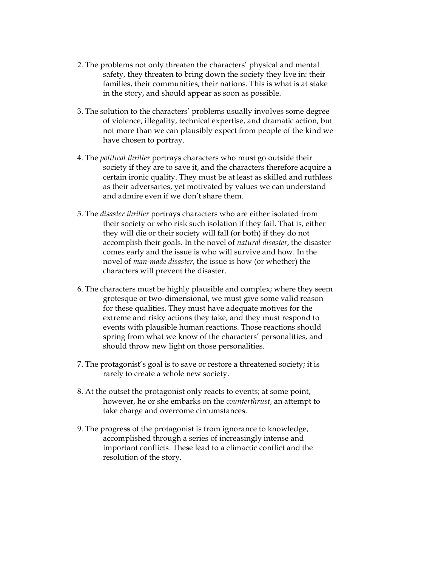- 2. The problems not only threaten the characters' physical and mental safety, they threaten to bring down the society they live in: their families, their communities, their nations. This is what is at stake in the story, and should appear as soon as possible.
- 3. The solution to the characters' problems usually involves some degree of violence, illegality, technical expertise, and dramatic action, but not more than we can plausibly expect from people of the kind we have chosen to portray.
- 4. The *political thriller* portrays characters who must go outside their society if they are to save it, and the characters therefore acquire a certain ironic quality. They must be at least as skilled and ruthless as their adversaries, yet motivated by values we can understand and admire even if we don't share them.
- 5. The *disaster thriller* portrays characters who are either isolated from their society or who risk such isolation if they fail. That is, either they will die or their society will fall (or both) if they do not accomplish their goals. In the novel of *natural disaster*, the disaster comes early and the issue is who will survive and how. In the novel of *man-made disaster*, the issue is how (or whether) the characters will prevent the disaster.
- 6. The characters must be highly plausible and complex; where they seem grotesque or two-dimensional, we must give some valid reason for these qualities. They must have adequate motives for the extreme and risky actions they take, and they must respond to events with plausible human reactions. Those reactions should spring from what we know of the characters' personalities, and should throw new light on those personalities.
- 7. The protagonist's goal is to save or restore a threatened society; it is rarely to create a whole new society.
- 8. At the outset the protagonist only reacts to events; at some point, however, he or she embarks on the *counterthrust*, an attempt to take charge and overcome circumstances.
- 9. The progress of the protagonist is from ignorance to knowledge, accomplished through a series of increasingly intense and important conflicts. These lead to a climactic conflict and the resolution of the story.